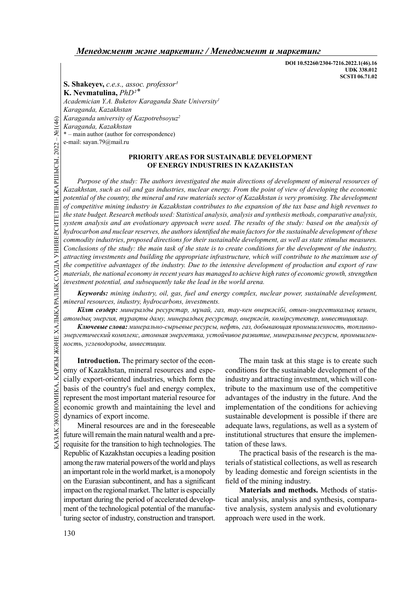DOI 10.52260/2304-7216.2022.1(46).16 UDK 338.012 SCSTI 06.71.02

S. Shakeyev, c.e.s., assoc. professor<sup>1</sup> K. Nevmatulina,  $PhD<sup>2</sup>$ Academician Y.A. Buketov Karaganda State University<sup>1</sup> Karaganda, Kazakhstan Karaganda university of Kazpotrebsoyuz<sup>2</sup> Karaganda, Kazakhstan

\* – main author (author for correspondence)

e-mail: sayan.79@mail.ru

## PRIORITY AREAS FOR SUSTAINABLE DEVELOPMENT OF ENERGY INDUSTRIES IN KAZAKHSTAN

G Karaganda university of J<br>
Karaganda, Kazakhstan<br>
\* – main author (author for or<br>
e-mail: sayan.79@mail.ru<br>
P<br>
P<br>
P<br>
P<br>
ET ET ET ET EXARISTAN, such as oil a<br>
potential of the country, to<br>
of competitive mining ind<br>
the Purpose of the study: The authors investigated the main directions of development of mineral resources of Kazakhstan, such as oil and gas industries, nuclear energy. From the point of view of developing the economic potential of the country, the mineral and raw materials sector of Kazakhstan is very promising. The development of competitive mining industry in Kazakhstan contributes to the expansion of the tax base and high revenues to the state budget. Research methods used: Statistical analysis, analysis and synthesis methods, comparative analysis, system analysis and an evolutionary approach were used. The results of the study: based on the analysis of hydrocarbon and nuclear reserves, the authors identified the main factors for the sustainable development of these commodity industries, proposed directions for their sustainable development, as well as state stimulus measures. Conclusions of the study: the main task of the state is to create conditions for the development of the industry, attracting investments and building the appropriate infrastructure, which will contribute to the maximum use of the competitive advantages of the industry. Due to the intensive development of production and export of raw materials, the national economy in recent years has managed to achieve high rates of economic growth, strengthen investment potential, and subsequently take the lead in the world arena.

Keywords: mining industry, oil, gas, fuel and energy complex, nuclear power, sustainable development, mineral resources, industry, hydrocarbons, investments.

Кілт сөздер: минералды ресурстар, мұнай, газ, тау-кен өнеркәсібі, отын-энергетикалық кешен, атомдық энергия, тұрақты даму, минералдық ресурстар, өнеркәсіп, көмірсутектер, инвестициялар.

Ключевые слова: минерально-сырьевые ресурсы, нефть, газ, добывающая промышленность, топливноэнергетический комплекс, атомная энергетика, устойчивое развитие, минеральные ресурсы, промышленность, углеводороды, инвестиции.

**EXECTE INTO I**<br>
Introduction. The primary sector of the econ-<br>
omy of Kazakhstan, mineral resources and espe-<br>
conditions for cially export-oriented industries, which form the<br>
industry and<br>
basis of the country's fuel a Introduction. The primary sector of the economy of Kazakhstan, mineral resources and especially export-oriented industries, which form the basis of the country's fuel and energy complex, represent the most important material resource for economic growth and maintaining the level and dynamics of export income.

Mineral resources are and in the foreseeable future will remain the main natural wealth and a prerequisite for the transition to high technologies. The Republic of Kazakhstan occupies a leading position among the raw material powers of the world and plays an important role in the world market, is a monopoly on the Eurasian subcontinent, and has a significant impact on the regional market. The latter is especially important during the period of accelerated development of the technological potential of the manufacturing sector of industry, construction and transport.

The main task at this stage is to create such conditions for the sustainable development of the industry and attracting investment, which will contribute to the maximum use of the competitive advantages of the industry in the future. And the implementation of the conditions for achieving sustainable development is possible if there are adequate laws, regulations, as well as a system of institutional structures that ensure the implementation of these laws.

The practical basis of the research is the materials of statistical collections, as well as research by leading domestic and foreign scientists in the field of the mining industry.

Materials and methods. Methods of statistical analysis, analysis and synthesis, comparative analysis, system analysis and evolutionary approach were used in the work.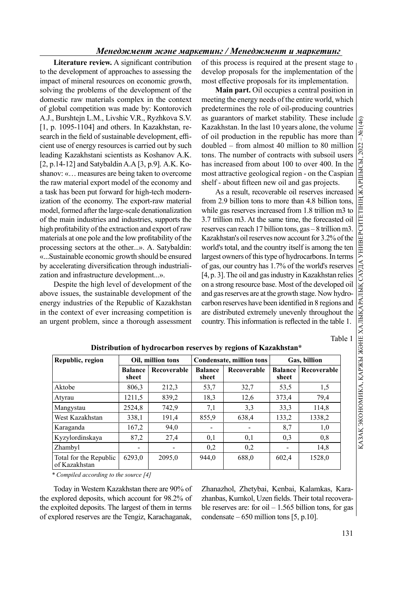Literature review. A significant contribution to the development of approaches to assessing the impact of mineral resources on economic growth, solving the problems of the development of the domestic raw materials complex in the context of global competition was made by: Kontorovich A.J., Burshtejn L.M., Livshic V.R., Ryzhkova S.V. [1, p. 1095-1104] and others. In Kazakhstan, research in the field of sustainable development, efficient use of energy resources is carried out by such leading Kazakhstani scientists as Koshanov A.K. [2, р.14-12] and Satybaldin A.A [3, р.9]. A.K. Koshanov: «… measures are being taken to overcome the raw material export model of the economy and a task has been put forward for high-tech modernization of the economy. The export-raw material model, formed after the large-scale denationalization of the main industries and industries, supports the high profitability of the extraction and export of raw materials at one pole and the low profitability of the processing sectors at the other...». A. Satybaldin: «...Sustainable economic growth should be ensured by accelerating diversification through industrialization and infrastructure development...».

Despite the high level of development of the above issues, the sustainable development of the energy industries of the Republic of Kazakhstan in the context of ever increasing competition is an urgent problem, since a thorough assessment of this process is required at the present stage to develop proposals for the implementation of the most effective proposals for its implementation.

Main part. Oil occupies a central position in meeting the energy needs of the entire world, which predetermines the role of oil-producing countries as guarantors of market stability. These include  $\begin{bmatrix} \mathcal{G} \\ \mathcal{G} \end{bmatrix}$ <br>Kazakhstan. In the last 10 years alone, the volume of oil production in the republic has more than Kazakhstan. In the last 10 years alone, the volume of oil production in the republic has more than doubled – from almost 40 million to 80 million tons. The number of contracts with subsoil users has increased from about 100 to over 400. In the most attractive geological region - on the Caspian shelf - about fifteen new oil and gas projects.

As a result, recoverable oil reserves increased from 2.9 billion tons to more than 4.8 billion tons, while gas reserves increased from 1.8 trillion m3 to 3.7 trillion m3. At the same time, the forecasted oil reserves can reach 17 billion tons, gas – 8 trillion m3. doubled – from almost 40 million to 80 million<br>tons. The number of contracts with subsoil users<br>has increased from about 100 over 400. In the lass increased from about 100 over 400. In the Caspian<br>shelf - about fifteen ne world's total, and the country itself is among the ten largest owners of this type of hydrocarbons. In terms of gas, our country has 1.7% of the world's reserves [4, p. 3]. The oil and gas industry in Kazakhstan relies on a strong resource base. Most of the developed oil and gas reserves are at the growth stage. Now hydrocarbon reserves have been identified in 8 regions and are distributed extremely unevenly throughout the country. This information is reflected in the table 1.

Table 1

| Republic, region                        | Oil, million tons        |             | Condensate, million tons |             | Gas, billion            |             |  |
|-----------------------------------------|--------------------------|-------------|--------------------------|-------------|-------------------------|-------------|--|
|                                         | <b>Balance</b><br>sheet  | Recoverable | <b>Balance</b><br>sheet  | Recoverable | <b>Balance</b><br>sheet | Recoverable |  |
| Aktobe                                  | 806,3                    | 212,3       | 53,7                     | 32,7        | 53,5                    | 1,5         |  |
| Atyrau                                  | 1211,5                   | 839,2       | 18,3                     | 12,6        | 373,4                   | 79,4        |  |
| Mangystau                               | 2524,8                   | 742.9       | 7,1                      | 3,3         | 33,3                    | 114.8       |  |
| West Kazakhstan                         | 338,1                    | 191,4       | 855,9                    | 638,4       | 133,2                   | 1338,2      |  |
| Karaganda                               | 167,2                    | 94,0        |                          |             | 8,7                     | 1,0         |  |
| Kyzylordinskaya                         | 87,2                     | 27,4        | 0,1                      | 0,1         | 0,3                     | 0,8         |  |
| Zhambyl                                 | $\overline{\phantom{0}}$ |             | 0,2                      | 0,2         | -                       | 14,8        |  |
| Total for the Republic<br>of Kazakhstan | 6293.0                   | 2095.0      | 944.0                    | 688,0       | 602,4                   | 1528,0      |  |

## Distribution of hydrocarbon reserves by regions of Kazakhstan\*

\* Compiled according to the source [4]

Today in Western Kazakhstan there are 90% of the explored deposits, which account for 98.2% of the exploited deposits. The largest of them in terms of explored reserves are the Tengiz, Karachaganak,

Zhanazhol, Zhetybai, Kenbai, Kalamkas, Karazhanbas, Kumkol, Uzen fields. Their total recoverable reserves are: for oil  $-1.565$  billion tons, for gas condensate  $-650$  million tons [5, p.10].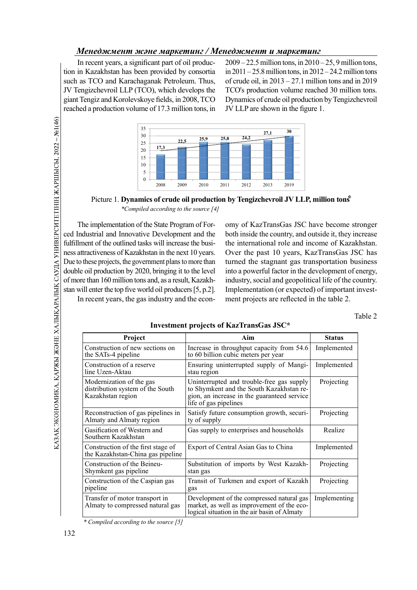In recent years, a significant part of oil production in Kazakhstan has been provided by consortia such as TCO and Karachaganak Petroleum. Thus, JV Tengizchevroil LLP (TCO), which develops the giant Tengiz and Korolevskoye fields, in 2008, TCO reached a production volume of 17.3 million tons, in

 $2009 - 22.5$  million tons, in  $2010 - 25$ , 9 million tons, in  $2011 - 25.8$  million tons, in  $2012 - 24.2$  million tons of crude oil, in  $2013 - 27.1$  million tons and in 2019 TCO's production volume reached 30 million tons. Dynamics of crude oil production by Tengizchevroil JV LLP are shown in the figure 1.



Picture 1. Dynamics of crude oil production by Tengizchevroil JV LLP, million tons<sup>\*</sup> \*Compiled according to the source [4]

The implementation of the State Program of Forced Industrial and Innovative Development and the fulfillment of the outlined tasks will increase the business attractiveness of Kazakhstan in the next 10 years. Due to these projects, the government plans to more than double oil production by 2020, bringing it to the level of more than 160 million tons and, as a result, Kazakhstan will enter the top five world oil producers [5, p.2]. In recent years, the gas industry and the economy of KazTransGas JSC have become stronger both inside the country, and outside it, they increase the international role and income of Kazakhstan. Over the past 10 years, KazTransGas JSC has turned the stagnant gas transportation business into a powerful factor in the development of energy, industry, social and geopolitical life of the country. Implementation (or expected) of important investment projects are reflected in the table 2.

Table 2

| Project                                                                           | Aim                                                                                                                                                           | <b>Status</b> |
|-----------------------------------------------------------------------------------|---------------------------------------------------------------------------------------------------------------------------------------------------------------|---------------|
| Construction of new sections on<br>the SATs-4 pipeline                            | Increase in throughput capacity from 54.6<br>to 60 billion cubic meters per year                                                                              | Implemented   |
| Construction of a reserve<br>line Uzen-Aktau                                      | Ensuring uninterrupted supply of Mangi-<br>stau region                                                                                                        | Implemented   |
| Modernization of the gas<br>distribution system of the South<br>Kazakhstan region | Uninterrupted and trouble-free gas supply<br>to Shymkent and the South Kazakhstan re-<br>gion, an increase in the guaranteed service<br>life of gas pipelines | Projecting    |
| Reconstruction of gas pipelines in<br>Almaty and Almaty region                    | Satisfy future consumption growth, securi-<br>ty of supply                                                                                                    | Projecting    |
| Gasification of Western and<br>Southern Kazakhstan                                | Gas supply to enterprises and households                                                                                                                      | Realize       |
| Construction of the first stage of<br>the Kazakhstan-China gas pipeline           | Export of Central Asian Gas to China                                                                                                                          | Implemented   |
| Construction of the Beineu-<br>Shymkent gas pipeline                              | Substitution of imports by West Kazakh-<br>stan gas                                                                                                           | Projecting    |
| Construction of the Caspian gas<br>pipeline                                       | Transit of Turkmen and export of Kazakh<br>gas                                                                                                                | Projecting    |
| Transfer of motor transport in<br>Almaty to compressed natural gas                | Development of the compressed natural gas<br>market, as well as improvement of the eco-<br>logical situation in the air basin of Almaty                       | Implementing  |

Investment projects of KazTransGas JSC\*

\* Compiled according to the source [5]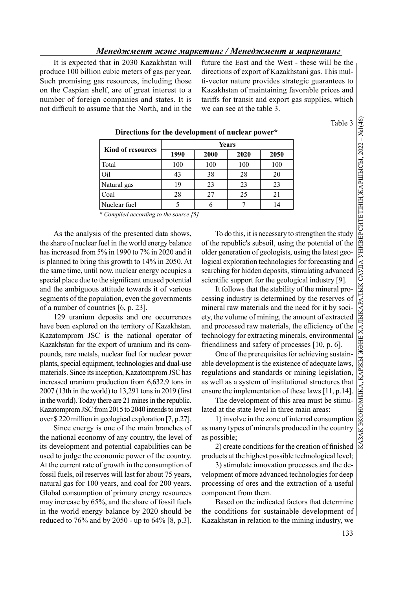It is expected that in 2030 Kazakhstan will produce 100 billion cubic meters of gas per year. Such promising gas resources, including those on the Caspian shelf, are of great interest to a number of foreign companies and states. It is not difficult to assume that the North, and in the future the East and the West - these will be the directions of export of Kazakhstani gas. This multi-vector nature provides strategic guarantees to Kazakhstan of maintaining favorable prices and tariffs for transit and export gas supplies, which we can see at the table 3.

Table 3

|                          | Years |      |      |      |  |  |  |
|--------------------------|-------|------|------|------|--|--|--|
| <b>Kind of resources</b> | 1990  | 2000 | 2020 | 2050 |  |  |  |
| Total                    | 100   | 100  | 100  | 100  |  |  |  |
| Oil                      | 43    | 38   | 28   | 20   |  |  |  |
| Natural gas              | 19    | 23   | 23   | 23   |  |  |  |
| Coal                     | 28    | 27   | 25   | 21   |  |  |  |
| Nuclear fuel             |       |      |      | 14   |  |  |  |

Directions for the development of nuclear power\*

\* Compiled according to the source [5]

As the analysis of the presented data shows, the share of nuclear fuel in the world energy balance has increased from 5% in 1990 to 7% in 2020 and it is planned to bring this growth to 14% in 2050. At the same time, until now, nuclear energy occupies a special place due to the significant unused potential and the ambiguous attitude towards it of various segments of the population, even the governments of a number of countries [6, р. 23].

129 uranium deposits and ore occurrences have been explored on the territory of Kazakhstan. Kazatomprom JSC is the national operator of Kazakhstan for the export of uranium and its compounds, rare metals, nuclear fuel for nuclear power plants, special equipment, technologies and dual-use materials. Since its inception, Kazatomprom JSC has increased uranium production from 6,632.9 tons in  $2007$  (13th in the world) to 13,291 tons in 2019 (first in the world). Today there are 21 mines in the republic. Kazatomprom JSC from 2015 to 2040 intends to invest over \$ 220 million in geological exploration [7, р.27].

Since energy is one of the main branches of the national economy of any country, the level of its development and potential capabilities can be used to judge the economic power of the country. At the current rate of growth in the consumption of fossil fuels, oil reserves will last for about 75 years, natural gas for 100 years, and coal for 200 years. Global consumption of primary energy resources may increase by 65%, and the share of fossil fuels in the world energy balance by 2020 should be reduced to 76% and by 2050 - up to 64% [8, р.3]. of the republic's subsoil, using the potential of the older generation of geologists, using the latest geological exploration technologies for forecasting and searching for hidden deposits, stimulating advanced scientific support for the geological industry [9].

Table 3  $\frac{3}{3}$ <br>
Table 3  $\frac{3}{3}$ <br>  $\frac{3}{2}$ <br>  $\frac{2020}{20}$  2050<br>  $\frac{28}{20}$ <br>  $\frac{23}{23}$ <br>  $\frac{25}{25}$ <br>  $\frac{21}{7}$ <br>  $\frac{14}{1}$ <br>
To do this, it is necessary to strengthen the study<br>
ne republic's subsoil, using the pot It follows that the stability of the mineral processing industry is determined by the reserves of mineral raw materials and the need for it by society, the volume of mining, the amount of extracted and processed raw materials, the efficiency of the technology for extracting minerals, environmental friendliness and safety of processes [10, p. 6].

One of the prerequisites for achieving sustainable development is the existence of adequate laws, regulations and standards or mining legislation, as well as a system of institutional structures that ensure the implementation of these laws [11, p.14].

The development of this area must be stimulated at the state level in three main areas:

1) involve in the zone of internal consumption as many types of minerals produced in the country as possible;

2) create conditions for the creation of finished products at the highest possible technological level;

3) stimulate innovation processes and the development of more advanced technologies for deep processing of ores and the extraction of a useful component from them.

Based on the indicated factors that determine the conditions for sustainable development of Kazakhstan in relation to the mining industry, we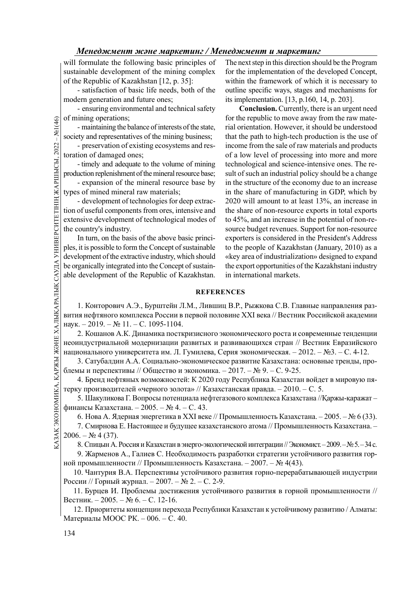will formulate the following basic principles of sustainable development of the mining complex of the Republic of Kazakhstan [12, р. 35]:

- satisfaction of basic life needs, both of the modern generation and future ones;

- ensuring environmental and technical safety of mining operations;

- maintaining the balance of interests of the state, society and representatives of the mining business;

- preservation of existing ecosystems and restoration of damaged ones;

- timely and adequate to the volume of mining production replenishment of the mineral resource base;

- expansion of the mineral resource base by types of mined mineral raw materials;

- development of technologies for deep extraction of useful components from ores, intensive and extensive development of technological modes of the country's industry.

G<br>
(CONTROLLED TO THING THE SOCIETY and representative to the preservation of expansion of expansion of the types of mined mineral to expansion of the types of mined mineral to development of the extensive development of In turn, on the basis of the above basic principles, it is possible to form the Concept of sustainable development of the extractive industry, which should be organically integrated into the Concept of sustainable development of the Republic of Kazakhstan.

The next step in this direction should be the Program for the implementation of the developed Concept, within the framework of which it is necessary to outline specific ways, stages and mechanisms for its implementation. [13, р.160, 14, р. 203].

Conclusion. Currently, there is an urgent need for the republic to move away from the raw material orientation. However, it should be understood that the path to high-tech production is the use of income from the sale of raw materials and products of a low level of processing into more and more technological and science-intensive ones. The result of such an industrial policy should be a change in the structure of the economy due to an increase in the share of manufacturing in GDP, which by 2020 will amount to at least 13%, an increase in the share of non-resource exports in total exports to 45%, and an increase in the potential of non-resource budget revenues. Support for non-resource exporters is considered in the President's Address to the people of Kazakhstan (January, 2010) as a «key area of industrialization» designed to expand the export opportunities of the Kazakhstani industry in international markets.

## **REFERENCES**

1. Конторович А.Э., Бурштейн Л.М., Лившиц В.Р., Рыжкова С.В. Главные направления развития нефтяного комплекса России в первой половине XXI века // Вестник Российской академии наук. – 2019. – № 11. – С. 1095-1104.

2. Кошанов А.К. Динамика посткризисного экономического роста и современные тенденции неоиндустриальной модернизации развитых и развивающихся стран // Вестник Евразийского национального университета им. Л. Гумилева, Серия экономическая. – 2012. – №3. – С. 4-12.

3. Сатубалдин А.А. Социально-экономическое развитие Казахстана: основные тренды, проблемы и перспективы // Общество и экономика. – 2017. – № 9. – С. 9-25.

4. Бренд нефтяных возможностей: К 2020 году Республика Казахстан войдет в мировую пятерку производителей «черного золота» // Казахстанская правда. – 2010. – С. 5.

5. Шакуликова Г. Вопросы потенциала нефтегазового комплекса Казахстана //Қаржы-қаражат – финансы Казахстана. – 2005. – № 4. – С. 43.

6. Нова А. Ядерная энергетика в XXI веке // Промышленность Казахстана. – 2005. – № 6 (33).

 $\frac{18}{12}$  национального университета им. Л. Гумилева, Серия эконом 3. Сатубалдин А.А. Социально-экономическое развитие 1<br>
блемы и перспективы // Общество и экономика. – 2017. – № 4. Бренд нефтяных возможностей: К 2020 7. Смирнова Е. Настоящее и будущее казахстанского атома // Промышленность Казахстана. –  $2006. - N<sub>2</sub> 4(37).$ 

8. Спицын А. Россия и Казахстан в энерго-экологической интеграции // Экономист. – 2009. – № 5. – 34 c.

9. Жарменов А., Галиев С. Необходимость разработки стратегии устойчивого развития горной промышленности // Промышленность Казахстана. – 2007. – № 4(43).

10. Чантурия В.А. Перспективы устойчивого развития горно-перерабатывающей индустрии России // Горный журнал. – 2007. – № 2. – C. 2-9.

11. Бурцев И. Проблемы достижения устойчивого развития в горной промышленности // Вестник. – 2005. – № 6. – C. 12-16.

12. Приоритеты концепции перехода Республики Казахстан к устойчивому развитию / Алматы: Материалы МООС РК. – 006. – С. 40.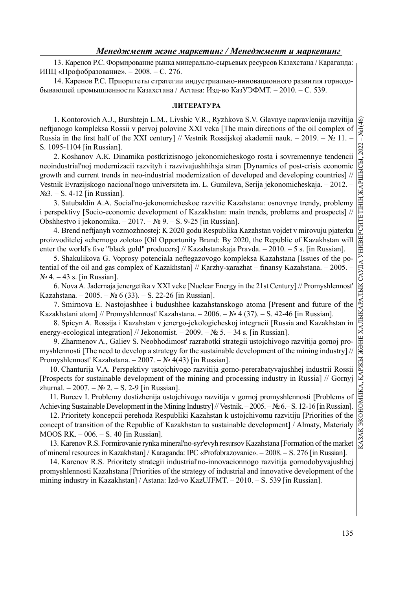13. Каренов Р.С. Формирование рынка минерально-сырьевых ресурсов Казахстана / Караганда: ИПЦ «Профобразование». – 2008. – С. 276.

14. Каренов Р.С. Приоритеты стратегии индустриально-инновационного развития горнодобывающей промышленности Казахстана / Астана: Изд-во КазУЭФМТ. – 2010. – С. 539.

## ЛИТЕРАТУРА

1. Kontorovich A.J., Burshtejn L.M., Livshic V.R., Ryzhkova S.V. Glavnye napravlenija razvitija neftjanogo kompleksa Rossii v pervoj polovine XXI veka [The main directions of the oil complex of Russia in the first half of the XXI century] // Vestnik Rossijskoj akademii nauk. – 2019. – № 11. – S. 1095-1104 [in Russian].

095-1104 in Russian).<br>
2. Koshanov Α.Κ. Dinamika postkrizisnogo jekonomicheskogo rosta i sovremennye tendencii a<br>
2. Koshanov Α.Κ. Dinamika postkrizisnogo jekonomicheskogo rosta i sovremennye tendencii a<br>
mlustrialityj mo neoindustrial'noj modernizacii razvityh i razvivajushhihsja stran [Dynamics of post-crisis economic growth and current trends in neo-industrial modernization of developed and developing countries] // Vestnik Evrazijskogo nacional'nogo universiteta im. L. Gumileva, Serija jekonomicheskaja. – 2012. – №3. – S. 4-12 [in Russian].

3. Satubaldin A.А. Social'no-jekonomicheskoe razvitie Kazahstana: osnovnye trendy, problemy i perspektivy [Socio-economic development of Kazakhstan: main trends, problems and prospects] // Obshhestvo i jekonomika. – 2017. – № 9. – S. 9-25 [in Russian].

4. Brend neftjanyh vozmozhnostej: K 2020 godu Respublika Kazahstan vojdet v mirovuju pjaterku proizvoditelej «chernogo zolota» [Oil Opportunity Brand: By 2020, the Republic of Kazakhstan will enter the world's five "black gold" producers] // Kazahstanskaja Pravda.  $-2010$ .  $-5$  s. [in Russian].

5. Shakulikova G. Voprosy potenciala neftegazovogo kompleksa Kazahstana [Issues of the potential of the oil and gas complex of Kazakhstan] // Karzhy-karazhat – finansy Kazahstana. – 2005. –  $\mathcal{N}$  4. – 43 s. [in Russian].

6. Nova A. Jadernaja jenergetika v XXI veke [Nuclear Energy in the 21st Century] // Promyshlennost' Kazahstana. – 2005. – № 6 (33). – S. 22-26 [in Russian].

7. Smirnova E. Nastojashhee i budushhee kazahstanskogo atoma [Present and future of the Kazakhstani atom] // Promyshlennost' Kazahstana. – 2006. – № 4 (37). – S. 42-46 [in Russian].

8. Spicyn A. Rossija i Kazahstan v jenergo-jekologicheskoj integracii [Russia and Kazakhstan in energy-ecological integration] // Jekonomist. – 2009. – № 5. – 34 s. [in Russian].

9. Zharmenov A., Galiev S. Neobhodimost' razrabotki strategii ustojchivogo razvitija gornoj promyshlennosti [The need to develop a strategy for the sustainable development of the mining industry] // Promyshlennost' Kazahstana. – 2007. – № 4(43) [in Russian].

10. Chanturija V.A. Perspektivy ustojchivogo razvitija gorno-pererabatyvajushhej industrii Rossii [Prospects for sustainable development of the mining and processing industry in Russia] // Gornyj zhurnal. – 2007. –  $\mathbb{N}^2$  2. – S. 2-9 [in Russian].

11. Burcev I. Problemy dostizhenija ustojchivogo razvitija v gornoj promyshlennosti [Problems of Achieving Sustainable Development in the Mining Industry] // Vestnik. – 2005. – № 6.– S. 12-16 [in Russian].

12. Prioritety koncepcii perehoda Respubliki Kazahstan k ustojchivomu razvitiju [Priorities of the concept of transition of the Republic of Kazakhstan to sustainable development] / Almaty, Materialy MOOS RK. – 006. – S. 40 [in Russian].

13. Karenov R.S. Formirovanie rynka mineral'no-syr'evyh resursov Kazahstana [Formation of the market of mineral resources in Kazakhstan] / Karaganda: IPC «Profobrazovanie». – 2008. – S. 276 [in Russian].

14. Karenov R.S. Prioritety strategii industrial'no-innovacionnogo razvitija gornodobyvajushhej promyshlennosti Kazahstana [Priorities of the strategy of industrial and innovative development of the mining industry in Kazakhstan] / Astana: Izd-vo KazUJFMT. – 2010. – S. 539 [in Russian].